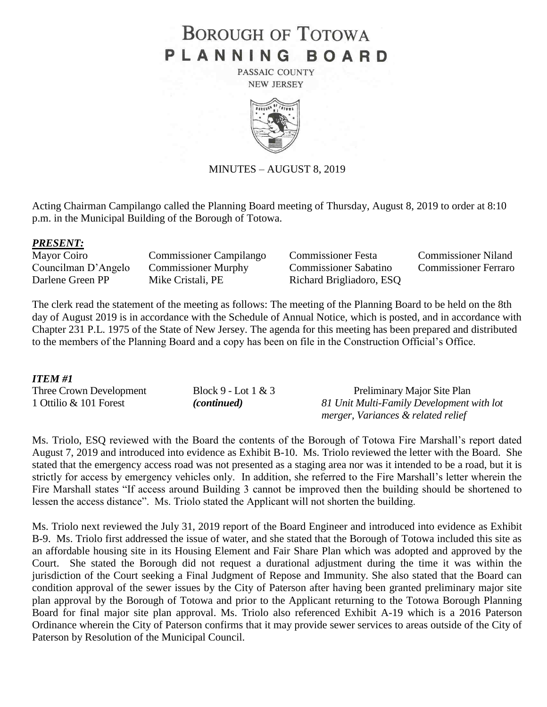# **BOROUGH OF TOTOWA** PLANNING BOARD

PASSAIC COUNTY **NEW JERSEY** 



MINUTES – AUGUST 8, 2019

Acting Chairman Campilango called the Planning Board meeting of Thursday, August 8, 2019 to order at 8:10 p.m. in the Municipal Building of the Borough of Totowa.

### *PRESENT:*

Councilman D'Angelo Commissioner Murphy Commissioner Sabatino Commissioner Ferraro Darlene Green PP Mike Cristali, PE Richard Brigliadoro, ESQ

Mayor Coiro Commissioner Campilango Commissioner Festa Commissioner Niland

The clerk read the statement of the meeting as follows: The meeting of the Planning Board to be held on the 8th day of August 2019 is in accordance with the Schedule of Annual Notice, which is posted, and in accordance with Chapter 231 P.L. 1975 of the State of New Jersey. The agenda for this meeting has been prepared and distributed to the members of the Planning Board and a copy has been on file in the Construction Official's Office.

### *ITEM #1*

| Three Crown Development | Block 9 - Lot $1 \& 3$ | Preliminary Major Site Plan               |
|-------------------------|------------------------|-------------------------------------------|
| 1 Ottilio & 101 Forest  | <i>(continued)</i>     | 81 Unit Multi-Family Development with lot |
|                         |                        | merger, Variances & related relief        |

Ms. Triolo, ESQ reviewed with the Board the contents of the Borough of Totowa Fire Marshall's report dated August 7, 2019 and introduced into evidence as Exhibit B-10. Ms. Triolo reviewed the letter with the Board. She stated that the emergency access road was not presented as a staging area nor was it intended to be a road, but it is strictly for access by emergency vehicles only. In addition, she referred to the Fire Marshall's letter wherein the Fire Marshall states "If access around Building 3 cannot be improved then the building should be shortened to lessen the access distance". Ms. Triolo stated the Applicant will not shorten the building.

Ms. Triolo next reviewed the July 31, 2019 report of the Board Engineer and introduced into evidence as Exhibit B-9. Ms. Triolo first addressed the issue of water, and she stated that the Borough of Totowa included this site as an affordable housing site in its Housing Element and Fair Share Plan which was adopted and approved by the Court. She stated the Borough did not request a durational adjustment during the time it was within the jurisdiction of the Court seeking a Final Judgment of Repose and Immunity. She also stated that the Board can condition approval of the sewer issues by the City of Paterson after having been granted preliminary major site plan approval by the Borough of Totowa and prior to the Applicant returning to the Totowa Borough Planning Board for final major site plan approval. Ms. Triolo also referenced Exhibit A-19 which is a 2016 Paterson Ordinance wherein the City of Paterson confirms that it may provide sewer services to areas outside of the City of Paterson by Resolution of the Municipal Council.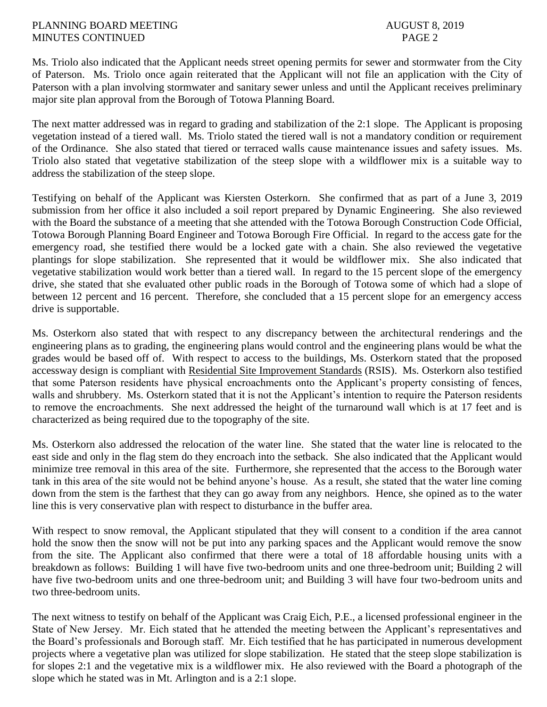Ms. Triolo also indicated that the Applicant needs street opening permits for sewer and stormwater from the City of Paterson. Ms. Triolo once again reiterated that the Applicant will not file an application with the City of Paterson with a plan involving stormwater and sanitary sewer unless and until the Applicant receives preliminary major site plan approval from the Borough of Totowa Planning Board.

The next matter addressed was in regard to grading and stabilization of the 2:1 slope. The Applicant is proposing vegetation instead of a tiered wall. Ms. Triolo stated the tiered wall is not a mandatory condition or requirement of the Ordinance. She also stated that tiered or terraced walls cause maintenance issues and safety issues. Ms. Triolo also stated that vegetative stabilization of the steep slope with a wildflower mix is a suitable way to address the stabilization of the steep slope.

Testifying on behalf of the Applicant was Kiersten Osterkorn. She confirmed that as part of a June 3, 2019 submission from her office it also included a soil report prepared by Dynamic Engineering. She also reviewed with the Board the substance of a meeting that she attended with the Totowa Borough Construction Code Official, Totowa Borough Planning Board Engineer and Totowa Borough Fire Official. In regard to the access gate for the emergency road, she testified there would be a locked gate with a chain. She also reviewed the vegetative plantings for slope stabilization. She represented that it would be wildflower mix. She also indicated that vegetative stabilization would work better than a tiered wall. In regard to the 15 percent slope of the emergency drive, she stated that she evaluated other public roads in the Borough of Totowa some of which had a slope of between 12 percent and 16 percent. Therefore, she concluded that a 15 percent slope for an emergency access drive is supportable.

Ms. Osterkorn also stated that with respect to any discrepancy between the architectural renderings and the engineering plans as to grading, the engineering plans would control and the engineering plans would be what the grades would be based off of. With respect to access to the buildings, Ms. Osterkorn stated that the proposed accessway design is compliant with Residential Site Improvement Standards (RSIS). Ms. Osterkorn also testified that some Paterson residents have physical encroachments onto the Applicant's property consisting of fences, walls and shrubbery. Ms. Osterkorn stated that it is not the Applicant's intention to require the Paterson residents to remove the encroachments. She next addressed the height of the turnaround wall which is at 17 feet and is characterized as being required due to the topography of the site.

Ms. Osterkorn also addressed the relocation of the water line. She stated that the water line is relocated to the east side and only in the flag stem do they encroach into the setback. She also indicated that the Applicant would minimize tree removal in this area of the site. Furthermore, she represented that the access to the Borough water tank in this area of the site would not be behind anyone's house. As a result, she stated that the water line coming down from the stem is the farthest that they can go away from any neighbors. Hence, she opined as to the water line this is very conservative plan with respect to disturbance in the buffer area.

With respect to snow removal, the Applicant stipulated that they will consent to a condition if the area cannot hold the snow then the snow will not be put into any parking spaces and the Applicant would remove the snow from the site. The Applicant also confirmed that there were a total of 18 affordable housing units with a breakdown as follows: Building 1 will have five two-bedroom units and one three-bedroom unit; Building 2 will have five two-bedroom units and one three-bedroom unit; and Building 3 will have four two-bedroom units and two three-bedroom units.

The next witness to testify on behalf of the Applicant was Craig Eich, P.E., a licensed professional engineer in the State of New Jersey. Mr. Eich stated that he attended the meeting between the Applicant's representatives and the Board's professionals and Borough staff. Mr. Eich testified that he has participated in numerous development projects where a vegetative plan was utilized for slope stabilization. He stated that the steep slope stabilization is for slopes 2:1 and the vegetative mix is a wildflower mix. He also reviewed with the Board a photograph of the slope which he stated was in Mt. Arlington and is a 2:1 slope.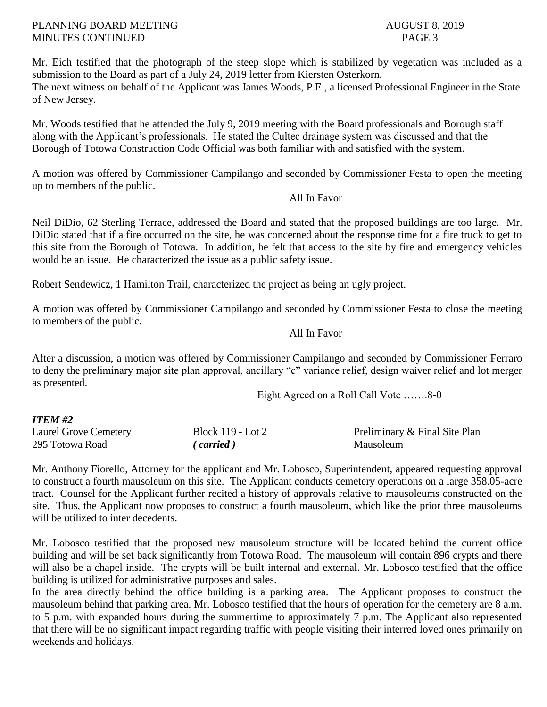Mr. Eich testified that the photograph of the steep slope which is stabilized by vegetation was included as a submission to the Board as part of a July 24, 2019 letter from Kiersten Osterkorn. The next witness on behalf of the Applicant was James Woods, P.E., a licensed Professional Engineer in the State of New Jersey.

Mr. Woods testified that he attended the July 9, 2019 meeting with the Board professionals and Borough staff along with the Applicant's professionals. He stated the Cultec drainage system was discussed and that the Borough of Totowa Construction Code Official was both familiar with and satisfied with the system.

A motion was offered by Commissioner Campilango and seconded by Commissioner Festa to open the meeting up to members of the public.

## All In Favor

Neil DiDio, 62 Sterling Terrace, addressed the Board and stated that the proposed buildings are too large. Mr. DiDio stated that if a fire occurred on the site, he was concerned about the response time for a fire truck to get to this site from the Borough of Totowa. In addition, he felt that access to the site by fire and emergency vehicles would be an issue. He characterized the issue as a public safety issue.

Robert Sendewicz, 1 Hamilton Trail, characterized the project as being an ugly project.

A motion was offered by Commissioner Campilango and seconded by Commissioner Festa to close the meeting to members of the public.

All In Favor

After a discussion, a motion was offered by Commissioner Campilango and seconded by Commissioner Ferraro to deny the preliminary major site plan approval, ancillary "c" variance relief, design waiver relief and lot merger as presented.

Eight Agreed on a Roll Call Vote …….8-0

# *ITEM #2*

| Laurel Grove Cemetery | <b>Block 119 - Lot 2</b> | Preliminary & Final Site Plan |
|-----------------------|--------------------------|-------------------------------|
| 295 Totowa Road       | $\epsilon$ carried)      | Mausoleum                     |

Mr. Anthony Fiorello, Attorney for the applicant and Mr. Lobosco, Superintendent, appeared requesting approval to construct a fourth mausoleum on this site. The Applicant conducts cemetery operations on a large 358.05-acre tract. Counsel for the Applicant further recited a history of approvals relative to mausoleums constructed on the site. Thus, the Applicant now proposes to construct a fourth mausoleum, which like the prior three mausoleums will be utilized to inter decedents.

Mr. Lobosco testified that the proposed new mausoleum structure will be located behind the current office building and will be set back significantly from Totowa Road. The mausoleum will contain 896 crypts and there will also be a chapel inside. The crypts will be built internal and external. Mr. Lobosco testified that the office building is utilized for administrative purposes and sales.

In the area directly behind the office building is a parking area. The Applicant proposes to construct the mausoleum behind that parking area. Mr. Lobosco testified that the hours of operation for the cemetery are 8 a.m. to 5 p.m. with expanded hours during the summertime to approximately 7 p.m. The Applicant also represented that there will be no significant impact regarding traffic with people visiting their interred loved ones primarily on weekends and holidays.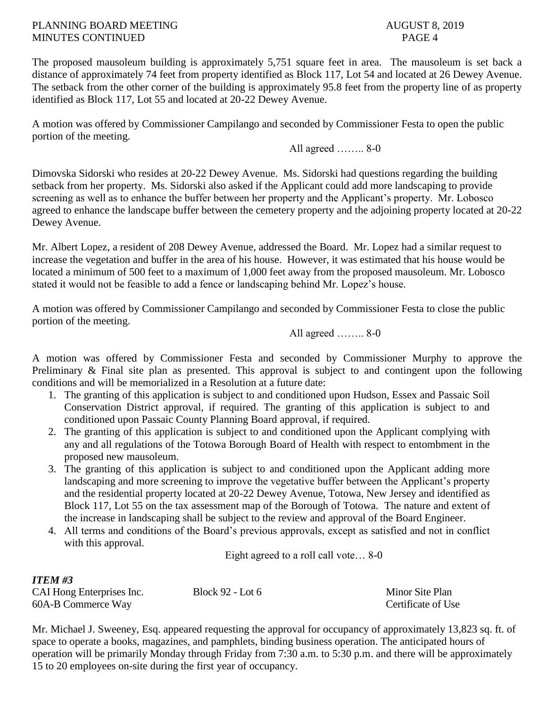The proposed mausoleum building is approximately 5,751 square feet in area. The mausoleum is set back a distance of approximately 74 feet from property identified as Block 117, Lot 54 and located at 26 Dewey Avenue. The setback from the other corner of the building is approximately 95.8 feet from the property line of as property identified as Block 117, Lot 55 and located at 20-22 Dewey Avenue.

A motion was offered by Commissioner Campilango and seconded by Commissioner Festa to open the public portion of the meeting.

All agreed …….. 8-0

Dimovska Sidorski who resides at 20-22 Dewey Avenue. Ms. Sidorski had questions regarding the building setback from her property. Ms. Sidorski also asked if the Applicant could add more landscaping to provide screening as well as to enhance the buffer between her property and the Applicant's property. Mr. Lobosco agreed to enhance the landscape buffer between the cemetery property and the adjoining property located at 20-22 Dewey Avenue.

Mr. Albert Lopez, a resident of 208 Dewey Avenue, addressed the Board. Mr. Lopez had a similar request to increase the vegetation and buffer in the area of his house. However, it was estimated that his house would be located a minimum of 500 feet to a maximum of 1,000 feet away from the proposed mausoleum. Mr. Lobosco stated it would not be feasible to add a fence or landscaping behind Mr. Lopez's house.

A motion was offered by Commissioner Campilango and seconded by Commissioner Festa to close the public portion of the meeting.

All agreed …….. 8-0

A motion was offered by Commissioner Festa and seconded by Commissioner Murphy to approve the Preliminary & Final site plan as presented. This approval is subject to and contingent upon the following conditions and will be memorialized in a Resolution at a future date:

- 1. The granting of this application is subject to and conditioned upon Hudson, Essex and Passaic Soil Conservation District approval, if required. The granting of this application is subject to and conditioned upon Passaic County Planning Board approval, if required.
- 2. The granting of this application is subject to and conditioned upon the Applicant complying with any and all regulations of the Totowa Borough Board of Health with respect to entombment in the proposed new mausoleum.
- 3. The granting of this application is subject to and conditioned upon the Applicant adding more landscaping and more screening to improve the vegetative buffer between the Applicant's property and the residential property located at 20-22 Dewey Avenue, Totowa, New Jersey and identified as Block 117, Lot 55 on the tax assessment map of the Borough of Totowa. The nature and extent of the increase in landscaping shall be subject to the review and approval of the Board Engineer.
- 4. All terms and conditions of the Board's previous approvals, except as satisfied and not in conflict with this approval.

Eight agreed to a roll call vote… 8-0

| <i>ITEM #3</i>            |                  |                    |
|---------------------------|------------------|--------------------|
| CAI Hong Enterprises Inc. | Block 92 - Lot 6 | Minor Site Plan    |
| 60A-B Commerce Way        |                  | Certificate of Use |

Mr. Michael J. Sweeney, Esq. appeared requesting the approval for occupancy of approximately 13,823 sq. ft. of space to operate a books, magazines, and pamphlets, binding business operation. The anticipated hours of operation will be primarily Monday through Friday from 7:30 a.m. to 5:30 p.m. and there will be approximately 15 to 20 employees on-site during the first year of occupancy.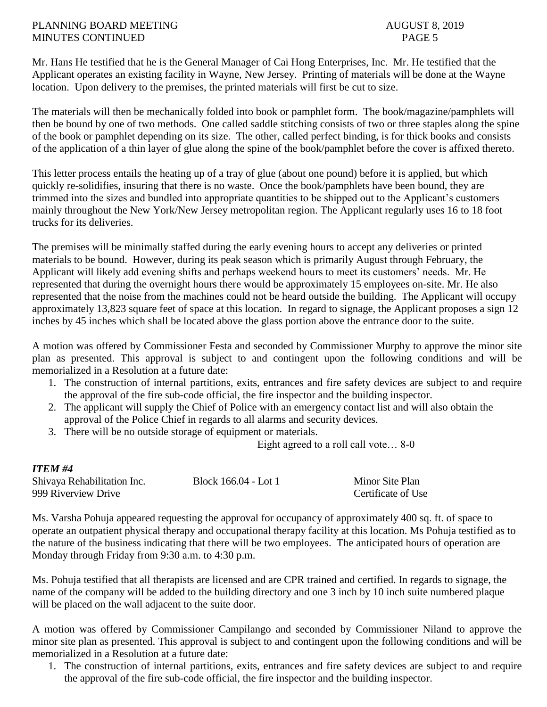Mr. Hans He testified that he is the General Manager of Cai Hong Enterprises, Inc. Mr. He testified that the Applicant operates an existing facility in Wayne, New Jersey. Printing of materials will be done at the Wayne location. Upon delivery to the premises, the printed materials will first be cut to size.

The materials will then be mechanically folded into book or pamphlet form. The book/magazine/pamphlets will then be bound by one of two methods. One called saddle stitching consists of two or three staples along the spine of the book or pamphlet depending on its size. The other, called perfect binding, is for thick books and consists of the application of a thin layer of glue along the spine of the book/pamphlet before the cover is affixed thereto.

This letter process entails the heating up of a tray of glue (about one pound) before it is applied, but which quickly re-solidifies, insuring that there is no waste. Once the book/pamphlets have been bound, they are trimmed into the sizes and bundled into appropriate quantities to be shipped out to the Applicant's customers mainly throughout the New York/New Jersey metropolitan region. The Applicant regularly uses 16 to 18 foot trucks for its deliveries.

The premises will be minimally staffed during the early evening hours to accept any deliveries or printed materials to be bound. However, during its peak season which is primarily August through February, the Applicant will likely add evening shifts and perhaps weekend hours to meet its customers' needs. Mr. He represented that during the overnight hours there would be approximately 15 employees on-site. Mr. He also represented that the noise from the machines could not be heard outside the building. The Applicant will occupy approximately 13,823 square feet of space at this location. In regard to signage, the Applicant proposes a sign 12 inches by 45 inches which shall be located above the glass portion above the entrance door to the suite.

A motion was offered by Commissioner Festa and seconded by Commissioner Murphy to approve the minor site plan as presented. This approval is subject to and contingent upon the following conditions and will be memorialized in a Resolution at a future date:

- 1. The construction of internal partitions, exits, entrances and fire safety devices are subject to and require the approval of the fire sub-code official, the fire inspector and the building inspector.
- 2. The applicant will supply the Chief of Police with an emergency contact list and will also obtain the approval of the Police Chief in regards to all alarms and security devices.
- 3. There will be no outside storage of equipment or materials.

Eight agreed to a roll call vote… 8-0

# *ITEM #4*

| Shivaya Rehabilitation Inc. | Block 166.04 - Lot 1 | Minor Site Plan    |
|-----------------------------|----------------------|--------------------|
| 999 Riverview Drive         |                      | Certificate of Use |

Ms. Varsha Pohuja appeared requesting the approval for occupancy of approximately 400 sq. ft. of space to operate an outpatient physical therapy and occupational therapy facility at this location. Ms Pohuja testified as to the nature of the business indicating that there will be two employees. The anticipated hours of operation are Monday through Friday from 9:30 a.m. to 4:30 p.m.

Ms. Pohuja testified that all therapists are licensed and are CPR trained and certified. In regards to signage, the name of the company will be added to the building directory and one 3 inch by 10 inch suite numbered plaque will be placed on the wall adjacent to the suite door.

A motion was offered by Commissioner Campilango and seconded by Commissioner Niland to approve the minor site plan as presented. This approval is subject to and contingent upon the following conditions and will be memorialized in a Resolution at a future date:

1. The construction of internal partitions, exits, entrances and fire safety devices are subject to and require the approval of the fire sub-code official, the fire inspector and the building inspector.